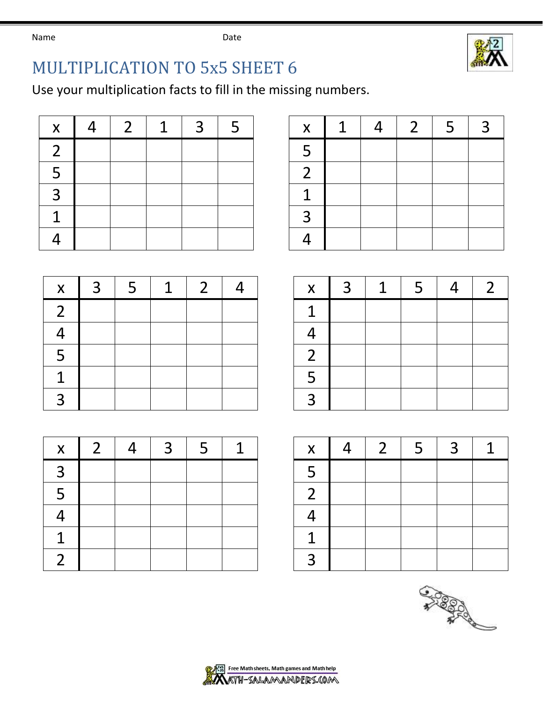Name **Name** Date



## MULTIPLICATION TO 5x5 SHEET 6

Use your multiplication facts to fill in the missing numbers.

| $\boldsymbol{\mathsf{X}}$ | 4 | $\overline{2}$ | 1 | 3 | 5 | $\boldsymbol{\mathsf{X}}$ |
|---------------------------|---|----------------|---|---|---|---------------------------|
| $\overline{2}$            |   |                |   |   |   | 5                         |
| 5                         |   |                |   |   |   | $\overline{2}$            |
| 3                         |   |                |   |   |   | $\overline{1}$            |
| 1                         |   |                |   |   |   | $\overline{3}$            |
|                           |   |                |   |   |   | 4                         |

| X | $\boldsymbol{\varDelta}$ | $\overline{2}$ | $\overline{1}$ | $\overline{3}$ | 5 <sub>1</sub> | $\mathsf{X}$ | $\mathbf{1}$ | $\overline{4}$ | $\overline{2}$ | 5 <sup>5</sup> | ാ |
|---|--------------------------|----------------|----------------|----------------|----------------|--------------|--------------|----------------|----------------|----------------|---|
| 2 |                          |                |                |                |                |              |              |                |                |                |   |
| 5 |                          |                |                |                |                | -            |              |                |                |                |   |
| 3 |                          |                |                |                |                |              |              |                |                |                |   |
| 1 |                          |                |                |                |                | ิว           |              |                |                |                |   |
| Λ |                          |                |                |                |                |              |              |                |                |                |   |

| $\boldsymbol{\mathsf{X}}$ | $\overline{3}$ | 5 | $\mathbf 1$ | $\overline{2}$ |  | $\boldsymbol{\mathsf{X}}$ |
|---------------------------|----------------|---|-------------|----------------|--|---------------------------|
| $\overline{2}$            |                |   |             |                |  | $\overline{1}$            |
| 4                         |                |   |             |                |  | 4                         |
| 5                         |                |   |             |                |  | $\overline{c}$            |
| 1                         |                |   |             |                |  | 5                         |
| 3                         |                |   |             |                |  | $\overline{3}$            |

| $\boldsymbol{X}$ | $\overline{2}$ | 4 | $\overline{3}$ | 5 | 1 | $\mathsf{x}$   |
|------------------|----------------|---|----------------|---|---|----------------|
| 3                |                |   |                |   |   | 5              |
| 5                |                |   |                |   |   | $\overline{2}$ |
| 4                |                |   |                |   |   | 4              |
| 1                |                |   |                |   |   | $\overline{1}$ |
| $\overline{2}$   |                |   |                |   |   | $\overline{3}$ |

| X. | ゝ | -5 | 1 |  | $X \parallel$ | 3 | $\mathbf{1}$ | 5 |  |
|----|---|----|---|--|---------------|---|--------------|---|--|
| 2  |   |    |   |  |               |   |              |   |  |
| 4  |   |    |   |  |               |   |              |   |  |
| 5  |   |    |   |  |               |   |              |   |  |
| 1  |   |    |   |  |               |   |              |   |  |
| 3  |   |    |   |  | ⌒             |   |              |   |  |

| X.                   | $\mathcal{L}$ | $\overline{3}$ | -5 | $\mathbf 1$ | $\mathsf{X}^-$ | $\overline{2}$ | $\cdot$ 5 $\cdot$ | $\overline{\mathbf{3}}$ |  |
|----------------------|---------------|----------------|----|-------------|----------------|----------------|-------------------|-------------------------|--|
| 3                    |               |                |    |             |                |                |                   |                         |  |
| 5                    |               |                |    |             |                |                |                   |                         |  |
| $\overline{\Lambda}$ |               |                |    |             |                |                |                   |                         |  |
| 1                    |               |                |    |             |                |                |                   |                         |  |
| 2                    |               |                |    |             |                |                |                   |                         |  |